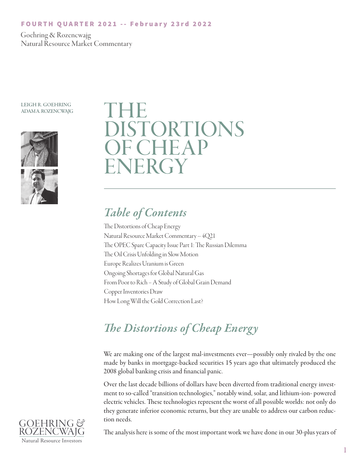#### FOURTH QUARTER 2021 -- February 23rd 2022

 Goehring & Rozencwajg Natural Resource Market Commentary

LEIGH R. GOEHRING ADAM A. ROZENCWAJG



## THE DISTORTIONS **CHEAP** NERGY

## *Table of Contents*

The Distortions of Cheap Energy Natural Resource Market Commentary -- 4Q21 The OPEC Spare Capacity Issue Part 1: The Russian Dilemma The Oil Crisis Unfolding in Slow Motion Europe Realizes Uranium is Green Ongoing Shortages for Global Natural Gas From Poor to Rich – A Study of Global Grain Demand Copper Inventories Draw How Long Will the Gold Correction Last?

## *The Distortions of Cheap Energy*

We are making one of the largest mal-investments ever—possibly only rivaled by the one made by banks in mortgage-backed securities 15 years ago that ultimately produced the 2008 global banking crisis and financial panic.

Over the last decade billions of dollars have been diverted from traditional energy investment to so-called "transition technologies," notably wind, solar, and lithium-ion- powered electric vehicles. These technologies represent the worst of all possible worlds: not only do they generate inferior economic returns, but they are unable to address our carbon reduction needs.



The analysis here is some of the most important work we have done in our 30-plus years of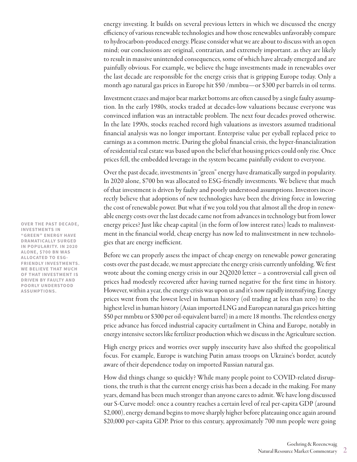energy investing. It builds on several previous letters in which we discussed the energy efficiency of various renewable technologies and how those renewables unfavorably compare to hydrocarbon-produced energy. Please consider what we are about to discuss with an open mind; our conclusions are original, contrarian, and extremely important. as they are likely to result in massive unintended consequences, some of which have already emerged and are painfully obvious. For example, we believe the huge investments made in renewables over the last decade are responsible for the energy crisis that is gripping Europe today. Only a month ago natural gas prices in Europe hit \$50 /mmbtu—or \$300 per barrels in oil terms.

Investment crazes and major bear market bottoms are often caused by a single faulty assumption. In the early 1980s, stocks traded at decades-low valuations because everyone was convinced inflation was an intractable problem. The next four decades proved otherwise. In the late 1990s, stocks reached record high valuations as investors assumed traditional financial analysis was no longer important. Enterprise value per eyeball replaced price to earnings as a common metric. During the global financial crisis, the hyper-financialization of residential real estate was based upon the belief that housing prices could only rise. Once prices fell, the embedded leverage in the system became painfully evident to everyone.

Over the past decade, investments in "green" energy have dramatically surged in popularity. In 2020 alone, \$700 bn was allocated to ESG-friendly investments. We believe that much of that investment is driven by faulty and poorly understood assumptions. Investors incorrectly believe that adoptions of new technologies have been the driving force in lowering the cost of renewable power. But what if we you told you that almost all the drop in renewable energy costs over the last decade came not from advances in technology but from lower energy prices? Just like cheap capital (in the form of low interest rates) leads to malinvestment in the financial world, cheap energy has now led to malinvestment in new technologies that are energy inefficient.

Before we can properly assess the impact of cheap energy on renewable power generating costs over the past decade, we must appreciate the energy crisis currently unfolding. We first wrote about the coming energy crisis in our 2Q2020 letter – a controversial call given oil prices had modestly recovered after having turned negative for the first time in history. However, within a year, the energy crisis was upon us and it's now rapidly intensifying. Energy prices went from the lowest level in human history (oil trading at less than zero) to the highest level in human history (Asian imported LNG and European natural gas prices hitting \$50 per mmbtu or \$300 per oil-equivalent barrel) in a mere 18 months. The relentless energy price advance has forced industrial capacity curtailment in China and Europe, notably in energy intensive sectors like fertilizer production which we discuss in the Agriculture section.

High energy prices and worries over supply insecurity have also shifted the geopolitical focus. For example, Europe is watching Putin amass troops on Ukraine's border, acutely aware of their dependence today on imported Russian natural gas.

How did things change so quickly? While many people point to COVID-related disruptions, the truth is that the current energy crisis has been a decade in the making. For many years, demand has been much stronger than anyone cares to admit. We have long discussed our S-Curve model: once a country reaches a certain level of real per-capita GDP (around \$2,000), energy demand begins to move sharply higher before plateauing once again around \$20,000 per-capita GDP. Prior to this century, approximately 700 mm people were going

**OVER THE PAST DECADE, INVESTMENTS IN "GREEN" ENERGY HAVE DRAMATICALLY SURGED IN POPULARITY. IN 2020 ALONE, \$700 BN WAS ALLOCATED TO ESG-FRIENDLY INVESTMENTS. WE BELIEVE THAT MUCH OF THAT INVESTMENT IS DRIVEN BY FAULTY AND POORLY UNDERSTOOD ASSUMPTIONS.**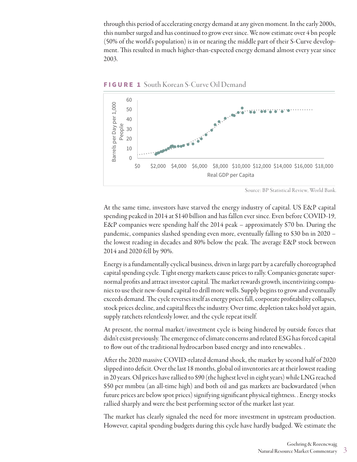through this period of accelerating energy demand at any given moment. In the early 2000s, this number surged and has continued to grow ever since. We now estimate over 4 bn people (50% of the world's population) is in or nearing the middle part of their S-Curve development. This resulted in much higher-than-expected energy demand almost every year since 2003.



FIGURE 1 South Korean S-Curve Oil Demand

At the same time, investors have starved the energy industry of capital. US E&P capital spending peaked in 2014 at \$140 billion and has fallen ever since. Even before COVID-19, E&P companies were spending half the 2014 peak – approximately \$70 bn. During the pandemic, companies slashed spending even more, eventually falling to \$30 bn in 2020 – the lowest reading in decades and 80% below the peak. The average E&P stock between 2014 and 2020 fell by 90%.

Energy is a fundamentally cyclical business, driven in large part by a carefully choreographed capital spending cycle. Tight energy markets cause prices to rally. Companies generate supernormal profits and attract investor capital. The market rewards growth, incentivizing companies to use their new-found capital to drill more wells. Supply begins to grow and eventually exceeds demand. The cycle reverses itself as energy prices fall, corporate profitability collapses, stock prices decline, and capital flees the industry. Over time, depletion takes hold yet again, supply ratchets relentlessly lower, and the cycle repeat itself.

At present, the normal market/investment cycle is being hindered by outside forces that didn't exist previously. The emergence of climate concerns and related ESG has forced capital to flow out of the traditional hydrocarbon based energy and into renewables. .

After the 2020 massive COVID-related demand shock, the market by second half of 2020 slipped into deficit. Over the last 18 months, global oil inventories are at their lowest reading in 20 years. Oil prices have rallied to \$90 (the highest level in eight years) while LNG reached \$50 per mmbtu (an all-time high) and both oil and gas markets are backwardated (when future prices are below spot prices) signifying significant physical tightness. . Energy stocks rallied sharply and were the best performing sector of the market last year.

The market has clearly signaled the need for more investment in upstream production. However, capital spending budgets during this cycle have hardly budged. We estimate the

Source: BP Statistical Review, World Bank.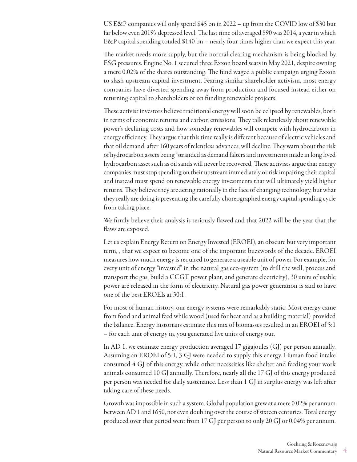US E&P companies will only spend \$45 bn in 2022 – up from the COVID low of \$30 but far below even 2019's depressed level. The last time oil averaged \$90 was 2014, a year in which E&P capital spending totaled \$140 bn – nearly four times higher than we expect this year.

The market needs more supply, but the normal clearing mechanism is being blocked by ESG pressures. Engine No. 1 secured three Exxon board seats in May 2021, despite owning a mere 0.02% of the shares outstanding. The fund waged a public campaign urging Exxon to slash upstream capital investment. Fearing similar shareholder activism, most energy companies have diverted spending away from production and focused instead either on returning capital to shareholders or on funding renewable projects.

These activist investors believe traditional energy will soon be eclipsed by renewables, both in terms of economic returns and carbon emissions. They talk relentlessly about renewable power's declining costs and how someday renewables will compete with hydrocarbons in energy efficiency. They argue that this time really is different because of electric vehicles and that oil demand, after 160 years of relentless advances, will decline. They warn about the risk of hydrocarbon assets being "stranded as demand falters and investments made in long lived hydrocarbon asset such as oil sands will never be recovered. These activists argue that energy companies must stop spending on their upstream immediately or risk impairing their capital and instead must spend on renewable energy investments that will ultimately yield higher returns. They believe they are acting rationally in the face of changing technology, but what they really are doing is preventing the carefully choreographed energy capital spending cycle from taking place.

We firmly believe their analysis is seriously flawed and that 2022 will be the year that the flaws are exposed.

Let us explain Energy Return on Energy Invested (EROEI), an obscure but very important term, , that we expect to become one of the important buzzwords of the decade. EROEI measures how much energy is required to generate a useable unit of power. For example, for every unit of energy "invested" in the natural gas eco-system (to drill the well, process and transport the gas, build a CCGT power plant, and generate electricity), 30 units of usable power are released in the form of electricity. Natural gas power generation is said to have one of the best EROEIs at 30:1.

For most of human history, our energy systems were remarkably static. Most energy came from food and animal feed while wood (used for heat and as a building material) provided the balance. Energy historians estimate this mix of biomasses resulted in an EROEI of 5:1 – for each unit of energy in, you generated five units of energy out.

In AD 1, we estimate energy production averaged 17 gigajoules (GJ) per person annually. Assuming an EROEI of 5:1, 3 GJ were needed to supply this energy. Human food intake consumed 4 GJ of this energy, while other necessities like shelter and feeding your work animals consumed 10 GJ annually. Therefore, nearly all the 17 GJ of this energy produced per person was needed for daily sustenance. Less than 1 GJ in surplus energy was left after taking care of these needs.

Growth was impossible in such a system. Global population grew at a mere 0.02% per annum between AD 1 and 1650, not even doubling over the course of sixteen centuries. Total energy produced over that period went from 17 GJ per person to only 20 GJ or 0.04% per annum.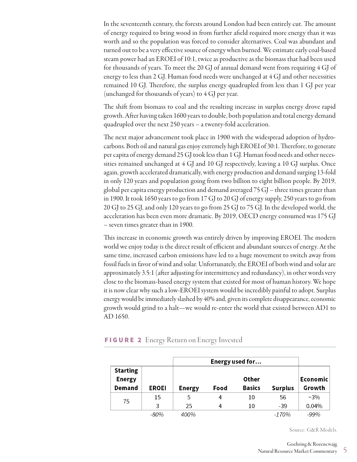In the seventeenth century, the forests around London had been entirely cut. The amount of energy required to bring wood in from further afield required more energy than it was worth and so the population was forced to consider alternatives. Coal was abundant and turned out to be a very effective source of energy when burned. We estimate early coal-based steam power had an EROEI of 10:1, twice as productive as the biomass that had been used for thousands of years. To meet the 20 GJ of annual demand went from requiring 4 GJ of energy to less than 2 GJ. Human food needs were unchanged at 4 GJ and other necessities remained 10 GJ. Therefore, the surplus energy quadrupled from less than 1 GJ per year (unchanged for thousands of years) to 4 GJ per year.

The shift from biomass to coal and the resulting increase in surplus energy drove rapid growth. After having taken 1600 years to double, both population and total energy demand quadrupled over the next 250 years – a twenty-fold acceleration.

The next major advancement took place in 1900 with the widespread adoption of hydrocarbons. Both oil and natural gas enjoy extremely high EROEI of 30:1. Therefore, to generate per capita of energy demand 25 GJ took less than 1 GJ. Human food needs and other necessities remained unchanged at 4 GJ and 10 GJ respectively, leaving a 10 GJ surplus. Once again, growth accelerated dramatically, with energy production and demand surging 13-fold in only 120 years and population going from two billion to eight billion people. By 2019, global per capita energy production and demand averaged 75 GJ – three times greater than in 1900. It took 1650 years to go from 17 GJ to 20 GJ of energy supply, 250 years to go from 20 GJ to 25 GJ, and only 120 years to go from 25 GJ to 75 GJ. In the developed world, the acceleration has been even more dramatic. By 2019, OECD energy consumed was 175 GJ – seven times greater than in 1900.

This increase in economic growth was entirely driven by improving EROEI. The modern world we enjoy today is the direct result of efficient and abundant sources of energy. At the same time, increased carbon emissions have led to a huge movement to switch away from fossil fuels in favor of wind and solar. Unfortunately, the EROEI of both wind and solar are approximately 3.5:1 (after adjusting for intermittency and redundancy), in other words very close to the biomass-based energy system that existed for most of human history. We hope it is now clear why such a low-EROEI system would be incredibly painful to adopt. Surplus energy would be immediately slashed by 40% and, given its complete disappearance, economic growth would grind to a halt—we would re-enter the world that existed between AD1 to AD 1650.

#### Energy used for... **Starting Energy** Other Economic **Demand Basics** Growth **EROEI Energy** Food **Surplus** 15 5 4 10 56  $~100$ 75 25 3 4 10  $-39$ 0.04% 400%  $-170%$  $-80%$  $-99%$

#### FIGURE 2 Energy Return on Energy Invested

Source: G&R Models.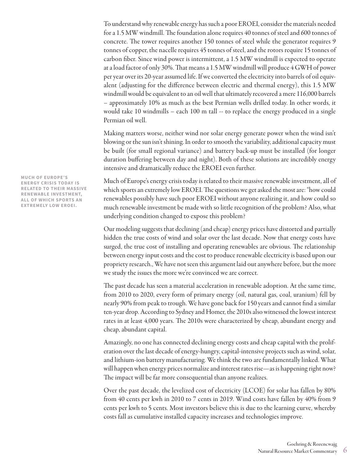To understand why renewable energy has such a poor EROEI, consider the materials needed for a 1.5 MW windmill. The foundation alone requires 40 tonnes of steel and 600 tonnes of concrete. The tower requires another 150 tonnes of steel while the generator requires 9 tonnes of copper, the nacelle requires 45 tonnes of steel, and the rotors require 15 tonnes of carbon fiber. Since wind power is intermittent, a 1.5 MW windmill is expected to operate at a load factor of only 30%. That means a 1.5 MW windmill will produce 4 GWH of power per year over its 20-year assumed life. If we converted the electricity into barrels of oil equivalent (adjusting for the difference between electric and thermal energy), this 1.5 MW windmill would be equivalent to an oil well that ultimately recovered a mere 116,000 barrels – approximately 10% as much as the best Permian wells drilled today. In other words, it would take 10 windmills – each 100 m tall -- to replace the energy produced in a single Permian oil well.

Making matters worse, neither wind nor solar energy generate power when the wind isn't blowing or the sun isn't shining. In order to smooth the variability, additional capacity must be built (for small regional variance) and battery back-up must be installed (for longer duration buffering between day and night). Both of these solutions are incredibly energy intensive and dramatically reduce the EROEI even further.

Much of Europe's energy crisis today is related to their massive renewable investment, all of which sports an extremely low EROEI. The questions we get asked the most are: "how could renewables possibly have such poor EROEI without anyone realizing it, and how could so much renewable investment be made with so little recognition of the problem? Also, what underlying condition changed to expose this problem?

Our modeling suggests that declining (and cheap) energy prices have distorted and partially hidden the true costs of wind and solar over the last decade. Now that energy costs have surged, the true cost of installing and operating renewables are obvious. The relationship between energy input costs and the cost to produce renewable electricity is based upon our propriety research., We have not seen this argument laid out anywhere before, but the more we study the issues the more we're convinced we are correct.

The past decade has seen a material acceleration in renewable adoption. At the same time, from 2010 to 2020, every form of primary energy (oil, natural gas, coal, uranium) fell by nearly 90% from peak to trough. We have gone back for 150 years and cannot find a similar ten-year drop. According to Sydney and Homer, the 2010s also witnessed the lowest interest rates in at least 4,000 years. The 2010s were characterized by cheap, abundant energy and cheap, abundant capital.

Amazingly, no one has connected declining energy costs and cheap capital with the proliferation over the last decade of energy-hungry, capital-intensive projects such as wind, solar, and lithium-ion battery manufacturing. We think the two are fundamentally linked. What will happen when energy prices normalize and interest rates rise—as is happening right now? The impact will be far more consequential than anyone realizes.

Over the past decade, the levelized cost of electricity (LCOE) for solar has fallen by 80% from 40 cents per kwh in 2010 to 7 cents in 2019. Wind costs have fallen by 40% from 9 cents per kwh to 5 cents. Most investors believe this is due to the learning curve, whereby costs fall as cumulative installed capacity increases and technologies improve.

**MUCH OF EUROPE'S ENERGY CRISIS TODAY IS RELATED TO THEIR MASSIVE RENEWABLE INVESTMENT, ALL OF WHICH SPORTS AN EXTREMELY LOW EROEI.**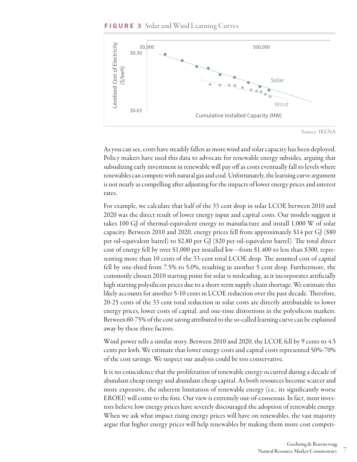#### **FIGURE 3** Solar and Wind Learning Curves



Source: IRENA.

As you can see, costs have steadily fallen as more wind and solar capacity has been deployed. Policy makers have used this data to advocate for renewable energy subsides, arguing that subsidizing early investment in renewable will pay off as costs eventually fall to levels where renewables can compete with natural gas and coal. Unfortunately, the learning curve argument is not nearly as compelling after adjusting for the impacts of lower energy prices and interest rates.

For example, we calculate that half of the 33 cent drop in solar LCOE between 2010 and 2020 was the direct result of lower energy input and capital costs. Our models suggest it takes 100 GJ of thermal-equivalent energy to manufacture and install 1,000 W of solar capacity. Between 2010 and 2020, energy prices fell from approximately \$14 per GJ (\$80 per oil-equivalent barrel) to \$2.80 per GJ (\$20 per oil-equivalent barrel). The total direct cost of energy fell by over \$1,000 per installed kw---from \$1,400 to less than \$300, representing more than 10 cents of the 33-cent total LCOE drop. The assumed cost of capital fell by one-third from 7.5% to 5.0%, resulting in another 5 cent drop. Furthermore, the commonly chosen 2010 starting point for solar is misleading, as it incorporates artificially high starting polysilicon prices due to a short-term supply chain shortage. We estimate this likely accounts for another 5-10 cents in LCOE reduction over the past decade. Therefore, 20-25 cents of the 33 cent total reduction in solar costs are directly attributable to lower energy prices, lower costs of capital, and one-time distortions in the polysilicon markets. Between 60-75% of the cost saving attributed to the so-called learning curve can be explained away by these three factors.

Wind power tells a similar story. Between 2010 and 2020, the LCOE fell by 9 cents to 4.5 cents per kwh. We estimate that lower energy costs and capital costs represented 50%-70% of the cost savings. We suspect our analysis could be too conservative.

It is no coincidence that the proliferation of renewable energy occurred during a decade of abundant cheap energy and abundant cheap capital. As both resources become scarcer and more expensive, the inherent limitation of renewable energy (i.e., its significantly worse EROEI) will come to the fore. Our view is extremely out-of-consensus. In fact, most investors believe low energy prices have severely discouraged the adoption of renewable energy. When we ask what impact rising energy prices will have on renewables, the vast majority argue that higher energy prices will help renewables by making them more cost competi-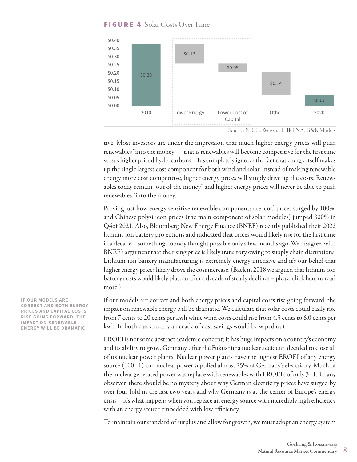



Source: NREL, Weissbach, IRENA, G&R Models.

tive. Most investors are under the impression that much higher energy prices will push renewables "into the money"--- that is renewables will become competitive for the first time versus higher priced hydrocarbons. This completely ignores the fact that energy itself makes up the single largest cost component for both wind and solar. Instead of making renewable energy more cost competitive, higher energy prices will simply drive up the costs. Renewables today remain "out of the money" and higher energy prices will never be able to push renewables "into the money."

Proving just how energy sensitive renewable components are, coal prices surged by 100%, and Chinese polysilicon prices (the main component of solar modules) jumped 300% in Q4of 2021. Also, Bloomberg New Energy Finance (BNEF) recently published their 2022 lithium-ion battery projections and indicated that prices would likely rise for the first time in a decade – something nobody thought possible only a few months ago. We disagree. with BNEF's argument that the rising price is likely transitory owing to supply chain disruptions. Lithium-ion battery manufacturing is extremely energy intensive and it's our belief that higher energy prices likely drove the cost increase. (Back in 2018 we argued that lithium-ion battery costs would likely plateau after a decade of steady declines – please click here to read more.)

If our models are correct and both energy prices and capital costs rise going forward, the impact on renewable energy will be dramatic. We calculate that solar costs could easily rise from 7 cents to 20 cents per kwh while wind costs could rise from 4.5 cents to 6.0 cents per kwh. In both cases, nearly a decade of cost savings would be wiped out.

EROEI is not some abstract academic concept; it has huge impacts on a country's economy and its ability to grow. Germany, after the Fukushima nuclear accident, decided to close all of its nuclear power plants. Nuclear power plants have the highest EROEI of any energy source (100 : 1) and nuclear power supplied almost 25% of Germany's electricity. Much of the nuclear generated power was replace with renewables with EROEI's of only 3 : 1. To any observer, there should be no mystery about why German electricity prices have surged by over four-fold in the last two years and why Germany is at the center of Europe's energy crisis—it's what happens when you replace an energy source with incredibly high efficiency with an energy source embedded with low efficiency.

To maintain our standard of surplus and allow for growth, we must adopt an energy system

**IF OUR MODELS ARE CORRECT AND BOTH ENERGY PRICES AND CAPITAL COSTS RISE GOING FORWARD, THE IMPACT ON RENEWABLE ENERGY WILL BE DRAMATIC.**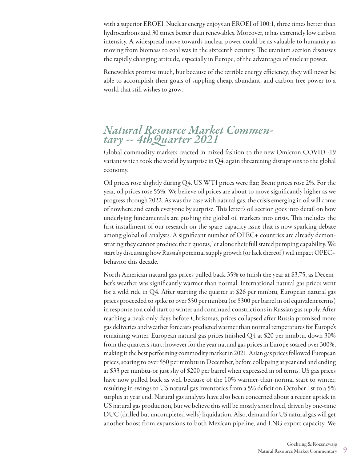with a superior EROEI. Nuclear energy enjoys an EROEI of 100:1, three times better than hydrocarbons and 30 times better than renewables. Moreover, it has extremely low carbon intensity. A widespread move towards nuclear power could be as valuable to humanity as moving from biomass to coal was in the sixteenth century. The uranium section discusses the rapidly changing attitude, especially in Europe, of the advantages of nuclear power.

Renewables promise much, but because of the terrible energy efficiency, they will never be able to accomplish their goals of suppling cheap, abundant, and carbon-free power to a world that still wishes to grow.

# *Natural Resource Market Commen- tary -- 4thQuarter 2021*

Global commodity markets reacted in mixed fashion to the new Omicron COVID -19 variant which took the world by surprise in Q4, again threatening disruptions to the global economy.

Oil prices rose slightly during Q4. US WTI prices were flat; Brent prices rose 2%. For the year, oil prices rose 55%. We believe oil prices are about to move significantly higher as we progress through 2022. As was the case with natural gas, the crisis emerging in oil will come of nowhere and catch everyone by surprise. This letter's oil section goes into detail on how underlying fundamentals are pushing the global oil markets into crisis. This includes the first installment of our research on the spare-capacity issue that is now sparking debate among global oil analysts. A significant number of OPEC+ countries are already demonstrating they cannot produce their quotas, let alone their full stated pumping capability. We start by discussing how Russia's potential supply growth (or lack thereof ) will impact OPEC+ behavior this decade.

North American natural gas prices pulled back 35% to finish the year at \$3.75, as December's weather was significantly warmer than normal. International natural gas prices went for a wild ride in Q4. After starting the quarter at \$26 per mmbtu, European natural gas prices proceeded to spike to over \$50 per mmbtu (or \$300 per barrel in oil equivalent terms) in response to a cold start to winter and continued constrictions in Russian gas supply. After reaching a peak only days before Christmas, prices collapsed after Russia promised more gas deliveries and weather forecasts predicted warmer than normal temperatures for Europe's remaining winter. European natural gas prices finished Q4 at \$20 per mmbtu, down 30% from the quarter's start; however for the year natural gas prices in Europe soared over 300%, making it the best performing commodity market in 2021. Asian gas prices followed European prices, soaring to over \$50 per mmbtu in December, before collapsing at year end and ending at \$33 per mmbtu-or just shy of \$200 per barrel when expressed in oil terms. US gas prices have now pulled back as well because of the 10% warmer-than-normal start to winter, resulting in swings to US natural gas inventories from a 5% deficit on October 1st to a 5% surplus at year end. Natural gas analysts have also been concerned about a recent uptick in US natural gas production, but we believe this will be mostly short lived, driven by one-time DUC (drilled but uncompleted wells) liquidation. Also, demand for US natural gas will get another boost from expansions to both Mexican pipeline, and LNG export capacity. We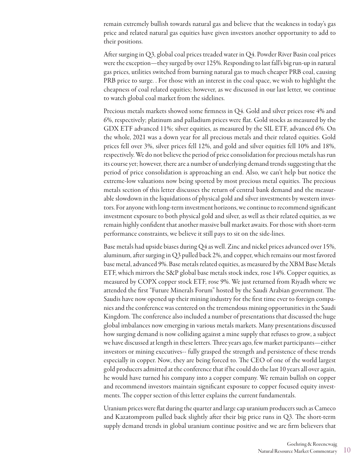remain extremely bullish towards natural gas and believe that the weakness in today's gas price and related natural gas equities have given investors another opportunity to add to their positions.

After surging in Q3, global coal prices treaded water in Q4. Powder River Basin coal prices were the exception—they surged by over 125%. Responding to last fall's big run-up in natural gas prices, utilities switched from burning natural gas to much cheaper PRB coal, causing PRB price to surge. . For those with an interest in the coal space, we wish to highlight the cheapness of coal related equities; however, as we discussed in our last letter, we continue to watch global coal market from the sidelines.

Precious metals markets showed some firmness in Q4. Gold and silver prices rose 4% and 6%, respectively; platinum and palladium prices were flat. Gold stocks as measured by the GDX ETF advanced 11%; silver equities, as measured by the SIL ETF, advanced 6%. On the whole, 2021 was a down year for all precious metals and their related equities. Gold prices fell over 3%, silver prices fell 12%, and gold and silver equities fell 10% and 18%, respectively. We do not believe the period of price consolidation for precious metals has run its course yet; however, there are a number of underlying demand trends suggesting that the period of price consolidation is approaching an end. Also, we can't help but notice the extreme-low valuations now being sported by most precious metal equities. The precious metals section of this letter discusses the return of central bank demand and the measurable slowdown in the liquidations of physical gold and silver investments by western investors. For anyone with long-term investment horizons, we continue to recommend significant investment exposure to both physical gold and silver, as well as their related equities, as we remain highly confident that another massive bull market awaits. For those with short-term performance constraints, we believe it still pays to sit on the side-lines.

Base metals had upside biases during Q4 as well. Zinc and nickel prices advanced over 15%, aluminum, after surging in Q3 pulled back 2%, and copper, which remains our most favored base metal, advanced 9%. Base metals related equities, as measured by the XBM Base Metals ETF, which mirrors the S&P global base metals stock index, rose 14%. Copper equities, as measured by COPX copper stock ETF, rose 9%. We just returned from Riyadh where we attended the first "Future Minerals Forum" hosted by the Saudi Arabian government. The Saudis have now opened up their mining industry for the first time ever to foreign companies and the conference was centered on the tremendous mining opportunities in the Saudi Kingdom. The conference also included a number of presentations that discussed the huge global imbalances now emerging in various metals markets. Many presentations discussed how surging demand is now colliding against a mine supply that refuses to grow, a subject we have discussed at length in these letters. Three years ago, few market participants—either investors or mining executives-- fully grasped the strength and persistence of these trends especially in copper. Now, they are being forced to. The CEO of one of the world largest gold producers admitted at the conference that if he could do the last 10 years all over again, he would have turned his company into a copper company. We remain bullish on copper and recommend investors maintain significant exposure to copper focused equity investments. The copper section of this letter explains the current fundamentals.

Uranium prices were flat during the quarter and large cap uranium producers such as Cameco and Kazatomprom pulled back slightly after their big price runs in Q3. The short-term supply demand trends in global uranium continue positive and we are firm believers that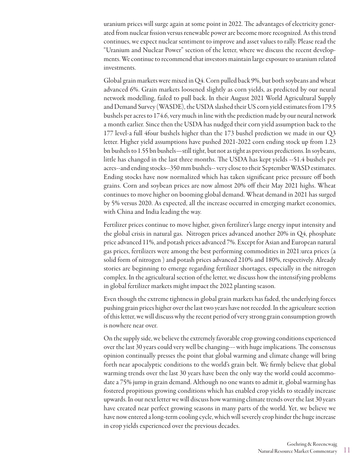uranium prices will surge again at some point in 2022. The advantages of electricity generated from nuclear fission versus renewable power are become more recognized. As this trend continues, we expect nuclear sentiment to improve and asset values to rally. Please read the "Uranium and Nuclear Power" section of the letter, where we discuss the recent developments. We continue to recommend that investors maintain large exposure to uranium related investments.

Global grain markets were mixed in Q4. Corn pulled back 9%, but both soybeans and wheat advanced 6%. Grain markets loosened slightly as corn yields, as predicted by our neural network modelling, failed to pull back. In their August 2021 World Agricultural Supply and Demand Survey (WASDE), the USDA slashed their US corn yield estimates from 179.5 bushels per acres to 174.6, very much in line with the prediction made by our neural network a month earlier. Since then the USDA has nudged their corn yield assumption back to the 177 level-a full 4four bushels higher than the 173 bushel prediction we made in our Q3 letter. Higher yield assumptions have pushed 2021-2022 corn ending stock up from 1.23 bn bushels to 1.55 bn bushels—still tight, but not as tight as previous predictions. In soybeans, little has changed in the last three months. The USDA has kept yields --51.4 bushels per acres--and ending stocks--350 mm bushels-- very close to their September WASD estimates. Ending stocks have now normalized which has taken significant price pressure off both grains. Corn and soybean prices are now almost 20% off their May 2021 highs. Wheat continues to move higher on booming global demand. Wheat demand in 2021 has surged by 5% versus 2020. As expected, all the increase occurred in emerging market economies, with China and India leading the way.

Fertilizer prices continue to move higher, given fertilizer's large energy input intensity and the global crisis in natural gas. Nitrogen prices advanced another 20% in Q4, phosphate price advanced 11%, and potash prices advanced 7%. Except for Asian and European natural gas prices, fertilizers were among the best performing commodities in 2021:urea prices (a solid form of nitrogen ) and potash prices advanced 210% and 180%, respectively. Already stories are beginning to emerge regarding fertilizer shortages, especially in the nitrogen complex. In the agricultural section of the letter, we discuss how the intensifying problems in global fertilizer markets might impact the 2022 planting season.

Even though the extreme tightness in global grain markets has faded, the underlying forces pushing grain prices higher over the last two years have not receded. In the agriculture section of this letter, we will discuss why the recent period of very strong grain consumption growth is nowhere near over.

On the supply side, we believe the extremely favorable crop growing conditions experienced over the last 30 years could very well be changing--- with huge implications. The consensus opinion continually presses the point that global warming and climate change will bring forth near apocalyptic conditions to the world's grain belt. We firmly believe that global warming trends over the last 30 years have been the only way the world could accommodate a 75% jump in grain demand. Although no one wants to admit it, global warming has fostered propitious growing conditions which has enabled crop yields to steadily increase upwards. In our next letter we will discuss how warming climate trends over the last 30 years have created near perfect growing seasons in many parts of the world. Yet, we believe we have now entered a long-term cooling cycle, which will severely crop hinder the huge increase in crop yields experienced over the previous decades.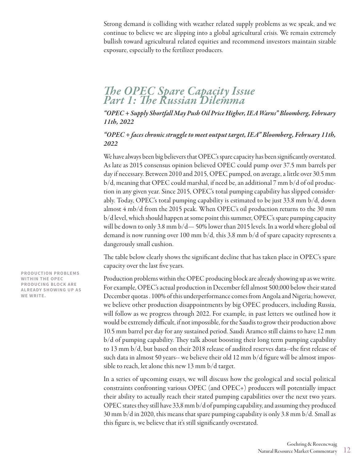Strong demand is colliding with weather related supply problems as we speak, and we continue to believe we are slipping into a global agricultural crisis. We remain extremely bullish toward agricultural related equities and recommend investors maintain sizable exposure, especially to the fertilizer producers.

## *The OPEC Spare Capacity Issue Part 1: The Russian Dilemma*

### *"OPEC + Supply Shortfall May Push Oil Price Higher, IEA Warns" Bloomberg, February 11th, 2022*

### *"OPEC + faces chronic struggle to meet output target, IEA" Bloomberg, February 11th, 2022*

We have always been big believers that OPEC's spare capacity has been significantly overstated. As late as 2015 consensus opinion believed OPEC could pump over 37.5 mm barrels per day if necessary. Between 2010 and 2015, OPEC pumped, on average, a little over 30.5 mm b/d, meaning that OPEC could marshal, if need be, an additional 7 mm b/d of oil production in any given year. Since 2015, OPEC's total pumping capability has slipped considerably. Today, OPEC's total pumping capability is estimated to be just 33.8 mm b/d, down almost 4 mb/d from the 2015 peak. When OPEC's oil production returns to the 30 mm b/d level, which should happen at some point this summer, OPEC's spare pumping capacity will be down to only 3.8 mm b/d— 50% lower than 2015 levels. In a world where global oil demand is now running over 100 mm b/d, this 3.8 mm b/d of spare capacity represents a dangerously small cushion.

The table below clearly shows the significant decline that has taken place in OPEC's spare capacity over the last five years.

Production problems within the OPEC producing block are already showing up as we write. For example, OPEC's actual production in December fell almost 500,000 below their stated December quotas . 100% of this underperformance comes from Angola and Nigeria; however, we believe other production disappointments by big OPEC producers, including Russia, will follow as we progress through 2022. For example, in past letters we outlined how it would be extremely difficult, if not impossible, for the Saudis to grow their production above 10.5 mm barrel per day for any sustained period. Saudi Aramco still claims to have 12 mm b/d of pumping capability. They talk about boosting their long term pumping capability to 13 mm b/d, but based on their 2018 release of audited reserves data--the first release of such data in almost 50 years-- we believe their old 12 mm b/d figure will be almost impossible to reach, let alone this new 13 mm b/d target.

In a series of upcoming essays, we will discuss how the geological and social political constraints confronting various OPEC (and OPEC+) producers will potentially impact their ability to actually reach their stated pumping capabilities over the next two years. OPEC states they still have 33,8 mm b/d of pumping capability, and assuming they produced 30 mm b/d in 2020, this means that spare pumping capability is only 3.8 mm b/d. Small as this figure is, we believe that it's still significantly overstated.

**PRODUCTION PROBLEMS WITHIN THE OPEC PRODUCING BLOCK ARE ALREADY SHOWING UP AS WE WRITE.**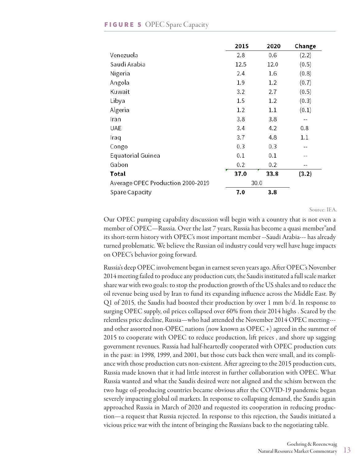| <b>FIGURE 5 OPEC Spare Capacity</b> |  |  |
|-------------------------------------|--|--|
|-------------------------------------|--|--|

|                                   | 2015 | 2020 | Change |
|-----------------------------------|------|------|--------|
| Venezuela                         | 2.8  | 0.6  | (2.2)  |
| Saudi Arabia                      | 12.5 | 12.0 | (0.5)  |
| Nigeria                           | 2.4  | 1.6  | (0.8)  |
| Angola                            | 1.9  | 1.2  | (0.7)  |
| Kuwait                            | 3.2  | 2.7  | (0.5)  |
| Libya                             | 1.5  | 1.2  | (0.3)  |
| Algeria                           | 1.2  | 1.1  | (0.1)  |
| Iran                              | 3.8  | 3.8  | --     |
| UAE                               | 3.4  | 4.2  | 0.8    |
| Iraq                              | 3.7  | 4.8  | 1.1    |
| Congo                             | 0.3  | 0.3  | --     |
| Equatorial Guinea                 | 0.1  | 0.1  |        |
| Gabon                             | 0.2  | 0.2  | --     |
| Total                             | 37.0 | 33.8 | (3.2)  |
| Average OPEC Production 2000-2019 | 30.0 |      |        |
| Spare Capacity                    | 7.0  | 3.8  |        |

#### Source: IEA.

Our OPEC pumping capability discussion will begin with a country that is not even a member of OPEC—Russia. Over the last 7 years, Russia has become a quasi member"and its short-term history with OPEC's most important member --Saudi Arabia--- has already turned problematic. We believe the Russian oil industry could very well have huge impacts on OPEC's behavior going forward.

Russia's deep OPEC involvement began in earnest seven years ago. After OPEC's November 2014 meeting failed to produce any production cuts, the Saudis instituted a full scale market share war with two goals: to stop the production growth of the US shales and to reduce the oil revenue being used by Iran to fund its expanding influence across the Middle East. By Q1 of 2015, the Saudis had boosted their production by over 1 mm b/d. In response to surging OPEC supply, oil prices collapsed over 60% from their 2014 highs . Scared by the relentless price decline, Russia—who had attended the November 2014 OPEC meeting-- and other assorted non-OPEC nations (now known as OPEC +) agreed in the summer of 2015 to cooperate with OPEC to reduce production, lift prices , and shore up sagging government revenues. Russia had half-heartedly cooperated with OPEC production cuts in the past: in 1998, 1999, and 2001, but those cuts back then were small, and its compliance with those production cuts non-existent. After agreeing to the 2015 production cuts, Russia made known that it had little interest in further collaboration with OPEC. What Russia wanted and what the Saudis desired were not aligned and the schism between the two huge oil-producing countries became obvious after the COVID-19 pandemic began severely impacting global oil markets. In response to collapsing demand, the Saudis again approached Russia in March of 2020 and requested its cooperation in reducing production—a request that Russia rejected. In response to this rejection, the Saudis initiated a vicious price war with the intent of bringing the Russians back to the negotiating table.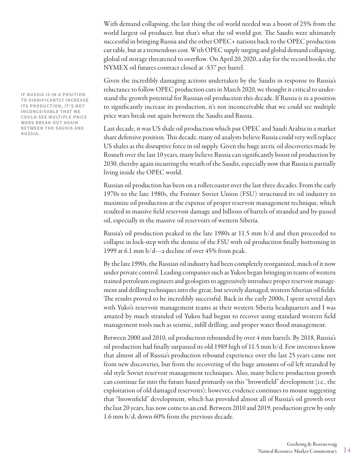With demand collapsing, the last thing the oil world needed was a boost of 25% from the world largest oil producer, but that's what the oil world got. The Saudis were ultimately successful in bringing Russia and the other OPEC+ nations back to the OPEC production cut table, but at a tremendous cost. With OPEC supply surging and global demand collapsing, global oil storage threatened to overflow. On April 20, 2020, a day for the record books, the NYMEX oil futures contract closed at -\$37 per barrel.

Given the incredibly damaging actions undertaken by the Saudis in response to Russia's reluctance to follow OPEC production cuts in March 2020, we thought it critical to understand the growth potential for Russian oil production this decade. If Russia is in a position to significantly increase its production, it's not inconceivable that we could see multiple price wars break out again between the Saudis and Russia.

Last decade, it was US shale oil production which put OPEC and Saudi Arabia in a market share defensive position. This decade, many oil analysts believe Russia could very well replace US shales as the disruptive force in oil supply. Given the huge arctic oil discoveries made by Rosneft over the last 10 years, many believe Russia can significantly boost oil production by 2030, thereby again incurring the wrath of the Saudis, especially now that Russia is partially living inside the OPEC world.

Russian oil production has been on a rollercoaster over the last three decades. From the early 1970s to the late 1980s, the Former Soviet Union (FSU) structured its oil industry to maximize oil production at the expense of proper reservoir management technique, which resulted in massive field reservoir damage and billions of barrels of stranded and by-passed oil, especially in the massive oil reservoirs of western Siberia.

Russia's oil production peaked in the late 1980s at 11.5 mm b/d and then proceeded to collapse in lock-step with the demise of the FSU with oil production finally bottoming in 1999 at 6.1 mm b/d---a decline of over 45% from peak.

By the late 1990s, the Russian oil industry had been completely reorganized, much of it now under private control. Leading companies such as Yukos began bringing in teams of western trained petroleum engineers and geologists to aggressively introduce proper reservoir management and drilling techniques into the great, but severely damaged, western Siberian oil fields. The results proved to be incredibly successful. Back in the early 2000s, I spent several days with Yuko's reservoir management teams at their western Siberia headquarters and I was amazed by much stranded oil Yukos had begun to recover using standard western field management tools such as seismic, infill drilling, and proper water flood management.

Between 2000 and 2010, oil production rebounded by over 4 mm barrels. By 2018, Russia's oil production had finally surpassed its old 1989 high of 11.5 mm b/d. Few investors know that almost all of Russia's production rebound experience over the last 25 years came not from new discoveries, but from the recovering of the huge amounts of oil left stranded by old style Soviet reservoir management techniques. Also, many believe production growth can continue far into the future based primarily on this "brownfield" development (i.e., the exploitation of old damaged reservoirs); however, evidence continues to mount suggesting that "brownfield" development, which has provided almost all of Russia's oil growth over the last 20 years, has now come to an end. Between 2010 and 2019, production grew by only 1.6 mm b/d, down 60% from the previous decade.

**IF RUSSIA IS IN A POSITION TO SIGNIFICANTLY INCREASE ITS PRODUCTION, IT'S NOT INCONCEIVABLE THAT WE COULD SEE MULTIPLE PRICE WARS BREAK OUT AGAIN BETWEEN THE SAUDIS AND RUSSIA.**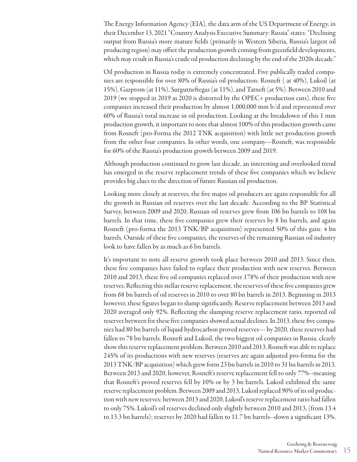The Energy Information Agency (EIA), the data arm of the US Department of Energy, in their December 13, 2021 "Country Analysis Executive Summary: Russia" states: "Declining output from Russia's more mature fields (primarily in Western Siberia, Russia's largest oil producing region) may offset the production growth coming from greenfield developments, which may result in Russia's crude oil production declining by the end of the 2020s decade."

Oil production in Russia today is extremely concentrated. Five publically traded companies are responsible for over 80% of Russia's oil production: Rosneft ( at 40%), Lukoil (at 15%), Gazprom (at 11%), Surgutneftegas (at 11%), and Tatneft (at 5%). Between 2010 and 2019 (we stopped in 2019 as 2020 is distorted by the OPEC+ production cuts), these five companies increased their production by almost 1,000,000 mm b/d and represented over 60% of Russia's total increase in oil production. Looking at the breakdown of this 1 mm production growth, it important to note that almost 100% of this production growth came from Rosneft (pro-Forma the 2012 TNK acquisition) with little net production growth from the other four companies. In other words, one company—Rosneft, was responsible for 60% of the Russia's production growth between 2009 and 2019.

Although production continued to grow last decade, an interesting and overlooked trend has emerged in the reserve replacement trends of these five companies which we believe provides big clues to the direction of future Russian oil production.

Looking more closely at reserves, the five major oil producers are again responsible for all the growth in Russian oil reserves over the last decade. According to the BP Statistical Survey, between 2009 and 2020, Russian oil reserves grew from 106 bn barrels to 108 bn barrels. In that time, these five companies grew their reserves by 8 bn barrels, and again Rosneft (pro-forma the 2013 TNK/BP acquisition) represented 50% of this gain: 4 bn barrels. Outside of these five companies, the reserves of the remaining Russian oil industry look to have fallen by as much as 6 bn barrels.

It's important to note all reserve growth took place between 2010 and 2013. Since then, these five companies have failed to replace their production with new reserves. Between 2010 and 2013, these five oil companies replaced over 178% of their production with new reserves. Reflecting this stellar reserve replacement, the reserves of these five companies grew from 68 bn barrels of oil reserves in 2010 to over 80 bn barrels in 2013. Beginning in 2013 however, these figures began to slump significantly. Reserve replacement between 2013 and 2020 averaged only 92%. Reflecting the slumping reserve replacement ratio, reported oil reserves between for these five companies showed actual declines. In 2013, these five companies had 80 bn barrels of liquid hydrocarbon proved reserves--- by 2020, these reserves had fallen to 78 bn barrels. Rosneft and Lukoil, the two biggest oil companies in Russia, clearly show this reserve replacement problem. Between 2010 and 2013, Rosneft was able to replace 245% of its productions with new reserves (reserves are again adjusted pro-forma for the 2013 TNK/BP acquisition) which grew form 23 bn barrels in 2010 to 31 bn barrels in 2013. Between 2013 and 2020, however, Rosneft's reserve replacement fell to only 77%--meaning that Rosneft's proved reserves fell by 10% or by 3 bn barrels. Lukoil exhibited the same reserve replacement problem. Between 2009 and 2013, Lukoil replaced 90% of its oil production with new reserves; between 2013 and 2020, Lukoil's reserve replacement ratio had fallen to only 75%. Lukoil's oil reserves declined only slightly between 2010 and 2013, (from 13.4 to 13.3 bn barrels); reserves by 2020 had fallen to 11.7 bn barrels--down a significant 13%.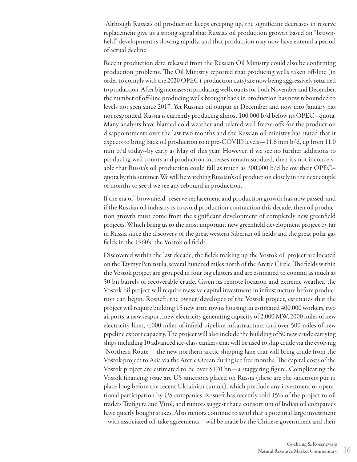Although Russia's oil production keeps creeping up, the significant decreases in reserve replacement give us a strong signal that Russia's oil production growth based on "brownfield" development is slowing rapidly, and that production may now have entered a period of actual decline.

Recent production data released from the Russian Oil Ministry could also be confirming production problems. The Oil Ministry reported that producing wells taken off-line (in order to comply with the 2020 OPEC+ production cuts) are now being aggressively returned to production. After big increases in producing well counts for both November and December, the number of off-line producing wells brought back in production has now rebounded to levels not seen since 2017. Yet Russian oil output in December and now into January has not responded. Russia is currently producing almost 100,000 b/d below its OPEC+ quota. Many analysts have blamed cold weather and related well freeze-offs for the production disappointments over the last two months and the Russian oil ministry has stated that it expects to bring back oil production to it pre-COVID levels—11.6 mm b/d, up from 11.0 mm b/d today--by early as May of this year. However, if we see no further additions to producing well counts and production increases remain subdued, then it's not inconceivable that Russia's oil production could fall as much as 300,000 b/d below their OPEC+ quota by this summer. We will be watching Russian's oil production closely in the next couple of months to see if we see any rebound in production.

If the era of "brownfield" reserve replacement and production growth has now passed, and if the Russian oil industry is to avoid production contraction this decade, then oil production growth must come from the significant development of completely new greenfield projects. Which bring us to the most important new greenfield development project by far in Russia since the discovery of the great western Siberian oil fields and the great polar gas fields in the 1960's: the Vostok oil fields.

Discovered within the last decade, the fields making up the Vostok oil project are located on the Taymyr Peninsula, several hundred miles north of the Arctic Circle. The fields within the Vostok project are grouped in four big clusters and are estimated to contain as much as 50 bn barrels of recoverable crude. Given its remote location and extreme weather, the Vostok oil project will require massive capital investment in infrastructure before production can begin. Rosneft, the owner/developer of the Vostok project, estimates that the project will require building 15 new artic towns housing an estimated 400,000 workers, two airports, a new seaport, new electricity generating capacity of 2,000 MW, 2000 miles of new electricity lines, 4,000 miles of infield pipeline infrastructure, and over 500 miles of new pipeline export capacity. The project will also include the building of 50 new crude carrying ships including 10 advanced ice-class tankers that will be used to ship crude via the evolving "Northern Route"—the new northern arctic shipping lane that will bring crude from the Vostok project to Asia via the Arctic Ocean during ice free months. The capital costs of the Vostok project are estimated to be over \$170 bn—a staggering figure. Complicating the Vostok financing issue are US sanctions placed on Russia (these are the sanctions put in place long before the recent Ukrainian tumult), which preclude any investment or operational participation by US companies. Rosneft has recently sold 15% of the project to oil traders Trafigura and Vitol, and rumors suggest that a consortium of Indian oil companies have quietly bought stakes. Also rumors continue to swirl that a potential large investment --with associated off-take agreements—will be made by the Chinese government and their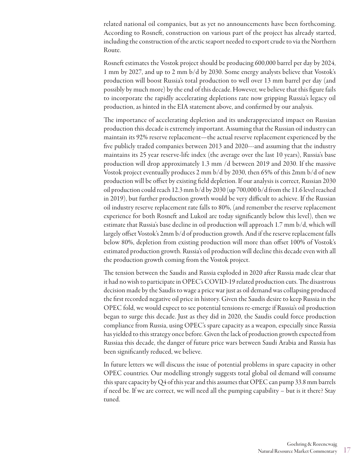related national oil companies, but as yet no announcements have been forthcoming. According to Rosneft, construction on various part of the project has already started, including the construction of the arctic seaport needed to export crude to via the Northern Route.

Rosneft estimates the Vostok project should be producing 600,000 barrel per day by 2024, 1 mm by 2027, and up to 2 mm b/d by 2030. Some energy analysts believe that Vostok's production will boost Russia's total production to well over 13 mm barrel per day (and possibly by much more) by the end of this decade. However, we believe that this figure fails to incorporate the rapidly accelerating depletions rate now gripping Russia's legacy oil production, as hinted in the EIA statement above, and confirmed by our analysis.

The importance of accelerating depletion and its underappreciated impact on Russian production this decade is extremely important. Assuming that the Russian oil industry can maintain its 92% reserve replacement—the actual reserve replacement experienced by the five publicly traded companies between 2013 and 2020---and assuming that the industry maintains its 25 year reserve-life index (the average over the last 10 years), Russia's base production will drop approximately 1.3 mm /d between 2019 and 2030. If the massive Vostok project eventually produces 2 mm b/d by 2030, then 65% of this 2mm b/d of new production will be offset by existing field depletion. If our analysis is correct, Russian 2030 oil production could reach 12.3 mm b/d by 2030 (up 700,000 b/d from the 11.6 level reached in 2019), but further production growth would be very difficult to achieve. If the Russian oil industry reserve replacement rate falls to 80%, (and remember the reserve replacement experience for both Rosneft and Lukoil are today significantly below this level), then we estimate that Russia's base decline in oil production will approach 1.7 mm b/d, which will largely offset Vostok's 2mm b/d of production growth. And if the reserve replacement falls below 80%, depletion from existing production will more than offset 100% of Vostok's estimated production growth. Russia's oil production will decline this decade even with all the production growth coming from the Vostok project.

The tension between the Saudis and Russia exploded in 2020 after Russia made clear that it had no wish to participate in OPEC's COVID-19 related production cuts. The disastrous decision made by the Saudis to wage a price war just as oil demand was collapsing produced the first recorded negative oil price in history. Given the Saudis desire to keep Russia in the OPEC fold, we would expect to see potential tensions re-emerge if Russia's oil production began to surge this decade. Just as they did in 2020, the Saudis could force production compliance from Russia, using OPEC's spare capacity as a weapon, especially since Russia has yielded to this strategy once before. Given the lack of production growth expected from Russiaa this decade, the danger of future price wars between Saudi Arabia and Russia has been significantly reduced, we believe.

In future letters we will discuss the issue of potential problems in spare capacity in other OPEC countries. Our modelling strongly suggests total global oil demand will consume this spare capacity by  $Q4$  of this year and this assumes that OPEC can pump 33.8 mm barrels if need be. If we are correct, we will need all the pumping capability – but is it there? Stay tuned.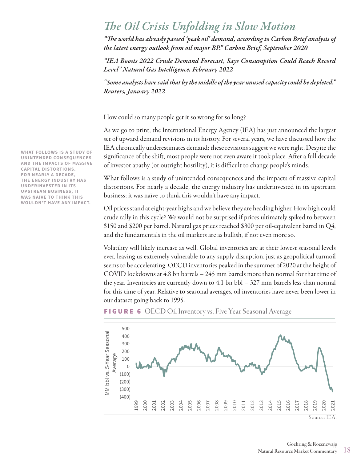## *The Oil Crisis Unfolding in Slow Motion*

*"The world has already passed 'peak oil' demand, according to Carbon Brief analysis of the latest energy outlook from oil major BP." Carbon Brief, September 2020*

*"IEA Boosts 2022 Crude Demand Forecast, Says Consumption Could Reach Record Level" Natural Gas Intelligence, February 2022*

*"Some analysts have said that by the middle of the year unused capacity could be depleted." Reuters, January 2022*

How could so many people get it so wrong for so long?

As we go to print, the International Energy Agency (IEA) has just announced the largest set of upward demand revisions in its history. For several years, we have discussed how the IEA chronically underestimates demand; these revisions suggest we were right. Despite the significance of the shift, most people were not even aware it took place. After a full decade of investor apathy (or outright hostility), it is difficult to change people's minds.

What follows is a study of unintended consequences and the impacts of massive capital distortions. For nearly a decade, the energy industry has underinvested in its upstream business; it was naïve to think this wouldn't have any impact.

Oil prices stand at eight-year highs and we believe they are heading higher. How high could crude rally in this cycle? We would not be surprised if prices ultimately spiked to between \$150 and \$200 per barrel. Natural gas prices reached \$300 per oil-equivalent barrel in Q4, and the fundamentals in the oil markets are as bullish, if not even more so.

Volatility will likely increase as well. Global inventories are at their lowest seasonal levels ever, leaving us extremely vulnerable to any supply disruption, just as geopolitical turmoil seems to be accelerating. OECD inventories peaked in the summer of 2020 at the height of COVID lockdowns at 4.8 bn barrels – 245 mm barrels more than normal for that time of the year. Inventories are currently down to 4.1 bn bbl – 327 mm barrels less than normal for this time of year. Relative to seasonal averages, oil inventories have never been lower in our dataset going back to 1995.





**WHAT FOLLOWS IS A STUDY OF UNINTENDED CONSEQUENCES AND THE IMPACTS OF MASSIVE CAPITAL DISTORTIONS. FOR NEARLY A DECADE, THE ENERGY INDUSTRY HAS UNDERINVESTED IN ITS UPSTREAM BUSINESS; IT WAS NAÏVE TO THINK THIS WOULDN'T HAVE ANY IMPACT.**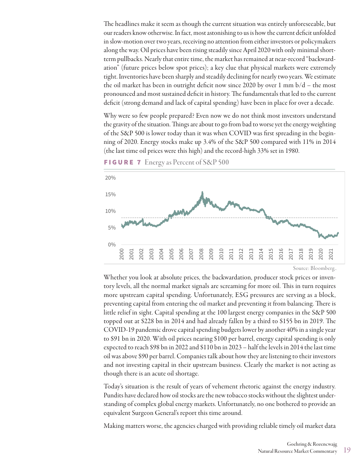The headlines make it seem as though the current situation was entirely unforeseeable, but our readers know otherwise. In fact, most astonishing to us is how the current deficit unfolded in slow-motion over two years, receiving no attention from either investors or policymakers along the way. Oil prices have been rising steadily since April 2020 with only minimal shortterm pullbacks. Nearly that entire time, the market has remained at near-record "backwardation" (future prices below spot prices); a key clue that physical markets were extremely tight. Inventories have been sharply and steadily declining for nearly two years. We estimate the oil market has been in outright deficit now since 2020 by over 1 mm  $b/d$  – the most pronounced and most sustained deficit in history. The fundamentals that led to the current deficit (strong demand and lack of capital spending) have been in place for over a decade.

Why were so few people prepared? Even now we do not think most investors understand the gravity of the situation. Things are about to go from bad to worse yet the energy weighting of the S&P 500 is lower today than it was when COVID was first spreading in the beginning of 2020. Energy stocks make up 3.4% of the S&P 500 compared with 11% in 2014 (the last time oil prices were this high) and the record-high 33% set in 1980.



**FIGURE 7** Energy as Percent of  $S\&P 500$ 

Whether you look at absolute prices, the backwardation, producer stock prices or inventory levels, all the normal market signals are screaming for more oil. This in turn requires more upstream capital spending. Unfortunately, ESG pressures are serving as a block, preventing capital from entering the oil market and preventing it from balancing. There is little relief in sight. Capital spending at the 100 largest energy companies in the S&P 500 topped out at \$228 bn in 2014 and had already fallen by a third to \$155 bn in 2019. The COVID-19 pandemic drove capital spending budgets lower by another 40% in a single year to \$91 bn in 2020. With oil prices nearing \$100 per barrel, energy capital spending is only expected to reach \$98 bn in 2022 and \$110 bn in 2023 – half the levels in 2014 the last time oil was above \$90 per barrel. Companies talk about how they are listening to their investors and not investing capital in their upstream business. Clearly the market is not acting as though there is an acute oil shortage.

Today's situation is the result of years of vehement rhetoric against the energy industry. Pundits have declared how oil stocks are the new tobacco stocks without the slightest understanding of complex global energy markets. Unfortunately, no one bothered to provide an equivalent Surgeon General's report this time around.

Making matters worse, the agencies charged with providing reliable timely oil market data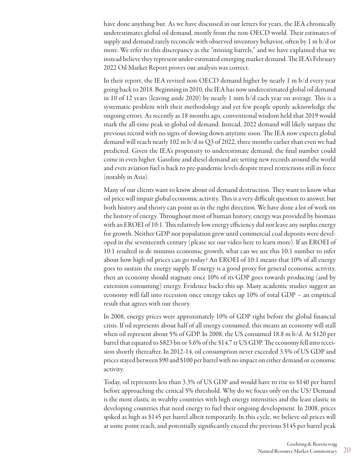have done anything but. As we have discussed in our letters for years, the IEA chronically underestimates global oil demand, mostly from the non-OECD world. Their estimates of supply and demand rarely reconcile with observed inventory behavior, often by 1 m b/d or more. We refer to this discrepancy as the "missing barrels," and we have explained that we instead believe they represent under-estimated emerging market demand. The IEA's February 2022 Oil Market Report proves our analysis was correct.

In their report, the IEA revised non-OECD demand higher by nearly 1 m b/d every year going back to 2018. Beginning in 2010, the IEA has now underestimated global oil demand in 10 of 12 years (leaving aside 2020) by nearly 1 mm b/d each year on average. This is a systematic problem with their methodology and yet few people openly acknowledge the ongoing errors. As recently as 18 months ago, conventional wisdom held that 2019 would mark the all-time peak in global oil demand. Instead, 2022 demand will likely surpass the previous record with no signs of slowing down anytime soon. The IEA now expects global demand will reach nearly 102 m b/d in Q3 of 2022, three months earlier than even we had predicted. Given the IEA's propensity to underestimate demand, the final number could come in even higher. Gasoline and diesel demand are setting new records around the world and even aviation fuel is back to pre-pandemic levels despite travel restrictions still in force (notably in Asia).

Many of our clients want to know about oil demand destruction. They want to know what oil price will impair global economic activity. This is a very difficult question to answer, but both history and theory can point us in the right direction. We have done a lot of work on the history of energy. Throughout most of human history, energy was provided by biomass with an EROEI of 10:1. This relatively low energy efficiency did not leave any surplus energy for growth. Neither GDP nor population grew until commercial coal deposits were developed in the seventeenth century (please see our video here to learn more). If an EROEI of 10:1 resulted in de minimis economic growth, what can we use this 10:1 number to infer about how high oil prices can go today? An EROEI of 10:1 means that 10% of all energy goes to sustain the energy supply. If energy is a good proxy for general economic activity, then an economy should stagnate once 10% of its GDP goes towards producing (and by extension consuming) energy. Evidence backs this up. Many academic studies suggest an economy will fall into recession once energy takes up 10% of total GDP – an empirical result that agrees with our theory.

In 2008, energy prices were approximately 10% of GDP right before the global financial crisis. If oil represents about half of all energy consumed, this means an economy will stall when oil represent about 5% of GDP. In 2008, the US consumed 18.8 m b/d. At \$120 per barrel that equated to \$823 bn or 5.6% of the \$14.7 tr US GDP. The economy fell into recession shortly thereafter. In 2012-14, oil consumption never exceeded 3.5% of US GDP and prices stayed between \$90 and \$100 per barrel with no impact on either demand or economic activity.

Today, oil represents less than 3.3% of US GDP and would have to rise to \$140 per barrel before approaching the critical 5% threshold. Why do we focus only on the US? Demand is the most elastic in wealthy countries with high energy intensities and the least elastic in developing countries that need energy to fuel their ongoing development. In 2008, prices spiked as high as \$145 per barrel albeit temporarily. In this cycle, we believe oil prices will at some point reach, and potentially significantly exceed the previous \$145 per barrel peak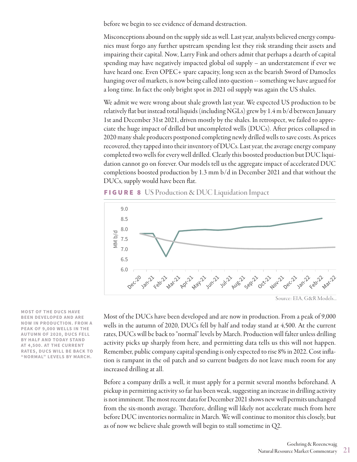before we begin to see evidence of demand destruction.

Misconceptions abound on the supply side as well. Last year, analysts believed energy companies must forgo any further upstream spending lest they risk stranding their assets and impairing their capital. Now, Larry Fink and others admit that perhaps a dearth of capital spending may have negatively impacted global oil supply – an understatement if ever we have heard one. Even OPEC+ spare capacity, long seen as the bearish Sword of Damocles hanging over oil markets, is now being called into question -- something we have argued for a long time. In fact the only bright spot in 2021 oil supply was again the US shales.

We admit we were wrong about shale growth last year. We expected US production to be relatively flat but instead total liquids (including NGLs) grew by 1.4 m b/d between January 1st and December 31st 2021, driven mostly by the shales. In retrospect, we failed to appreciate the huge impact of drilled but uncompleted wells (DUCs). After prices collapsed in 2020 many shale producers postponed completing newly drilled wells to save costs. As prices recovered, they tapped into their inventory of DUCs. Last year, the average energy company completed two wells for every well drilled. Clearly this boosted production but DUC liquidation cannot go on forever. Our models tell us the aggregate impact of accelerated DUC completions boosted production by 1.3 mm b/d in December 2021 and that without the DUCs, supply would have been flat.





Source: EIA, G&R Models...

Most of the DUCs have been developed and are now in production. From a peak of 9,000 wells in the autumn of 2020, DUCs fell by half and today stand at 4,500. At the current rates, DUCs will be back to "normal" levels by March. Production will falter unless drilling activity picks up sharply from here, and permitting data tells us this will not happen. Remember, public company capital spending is only expected to rise 8% in 2022. Cost inflation is rampant in the oil patch and so current budgets do not leave much room for any increased drilling at all.

Before a company drills a well, it must apply for a permit several months beforehand. A pickup in permitting activity so far has been weak, suggesting an increase in drilling activity is not imminent. The most recent data for December 2021 shows new well permits unchanged from the six-month average. Therefore, drilling will likely not accelerate much from here before DUC inventories normalize in March. We will continue to monitor this closely, but as of now we believe shale growth will begin to stall sometime in Q2.

**MOST OF THE DUCS HAVE BEEN DEVELOPED AND ARE NOW IN PRODUCTION. FROM A PEAK OF 9,000 WELLS IN THE AUTUMN OF 2020, DUCS FELL BY HALF AND TODAY STAND AT 4,500. AT THE CURRENT RATES, DUCS WILL BE BACK TO "NORMAL" LEVELS BY MARCH.**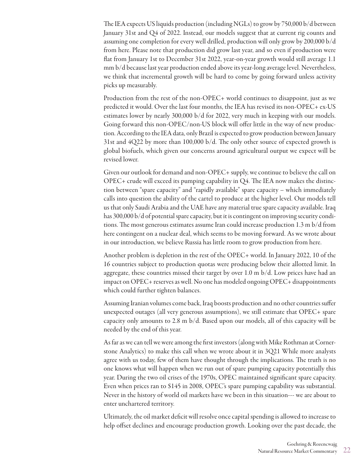The IEA expects US liquids production (including NGLs) to grow by 750,000 b/d between January 31st and Q4 of 2022. Instead, our models suggest that at current rig counts and assuming one completion for every well drilled, production will only grow by 200,000 b/d from here. Please note that production did grow last year, and so even if production were flat from January 1st to December 31st 2022, year-on-year growth would still average 1.1 mm b/d because last year production ended above its year-long average level. Nevertheless, we think that incremental growth will be hard to come by going forward unless activity picks up measurably.

Production from the rest of the non-OPEC+ world continues to disappoint, just as we predicted it would. Over the last four months, the IEA has revised its non-OPEC+ ex-US estimates lower by nearly 300,000 b/d for 2022, very much in keeping with our models. Going forward this non-OPEC/non-US block will offer little in the way of new production. According to the IEA data, only Brazil is expected to grow production between January 31st and 4Q22 by more than 100,000 b/d. The only other source of expected growth is global biofuels, which given our concerns around agricultural output we expect will be revised lower.

Given our outlook for demand and non-OPEC+ supply, we continue to believe the call on OPEC+ crude will exceed its pumping capability in Q4. The IEA now makes the distinction between "spare capacity" and "rapidly available" spare capacity – which immediately calls into question the ability of the cartel to produce at the higher level. Our models tell us that only Saudi Arabia and the UAE have any material true spare capacity available. Iraq has 300,000 b/d of potential spare capacity, but it is contingent on improving security conditions. The most generous estimates assume Iran could increase production 1.3 m b/d from here contingent on a nuclear deal, which seems to be moving forward. As we wrote about in our introduction, we believe Russia has little room to grow production from here.

Another problem is depletion in the rest of the OPEC+ world. In January 2022, 10 of the 16 countries subject to production quotas were producing below their allotted limit. In aggregate, these countries missed their target by over 1.0 m b/d. Low prices have had an impact on OPEC+ reserves as well. No one has modeled ongoing OPEC+ disappointments which could further tighten balances.

Assuming Iranian volumes come back, Iraq boosts production and no other countries suffer unexpected outages (all very generous assumptions), we still estimate that OPEC+ spare capacity only amounts to 2.8 m b/d. Based upon our models, all of this capacity will be needed by the end of this year.

As far as we can tell we were among the first investors (along with Mike Rothman at Cornerstone Analytics) to make this call when we wrote about it in 3Q21 While more analysts agree with us today, few of them have thought through the implications. The truth is no one knows what will happen when we run out of spare pumping capacity potentially this year. During the two oil crises of the 1970s, OPEC maintained significant spare capacity. Even when prices ran to \$145 in 2008, OPEC's spare pumping capability was substantial. Never in the history of world oil markets have we been in this situation--- we are about to enter unchartered territory.

Ultimately, the oil market deficit will resolve once capital spending is allowed to increase to help offset declines and encourage production growth. Looking over the past decade, the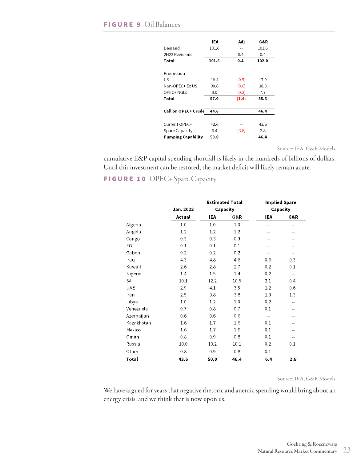|                           | IEA   | Adj   | G&R   |
|---------------------------|-------|-------|-------|
| Demand                    | 101.6 | --    | 101.6 |
| 2H22 Revisions            |       | 0.4   | 0.4   |
| Total                     | 101.6 | 0.4   | 102.0 |
| Production                |       |       |       |
| US                        | 18.4  | (0.5) | 17.9  |
| Non-OPEC+ Ex US           | 30.6  | (0.6) | 30.0  |
| OPEC+ NGLS                | 8.0   | (0.3) | 7.7   |
| Total                     | 57.0  | (1.4) | 55.6  |
| Call on OPEC+ Crude       | 44.6  |       | 46.4  |
| Current OPEC+             | 43.6  |       | 43.6  |
| Spare Capacity            | 6.4   | (3.6) | 2.8   |
| <b>Pumping Capability</b> | 50.0  |       | 46.4  |

Source: IEA, G&R Models.

cumulative E&P capital spending shortfall is likely in the hundreds of billions of dollars. Until this investment can be restored, the market deficit will likely remain acute.

FIGURE 10 OPEC+ Spare Capacity

|            | Jan. 2022 |            | <b>Estimated Total</b><br>Capacity |     | <b>Implied Spare</b><br>Capacity |
|------------|-----------|------------|------------------------------------|-----|----------------------------------|
|            | Actual    | <b>IEA</b> | G&R                                | IEA | G&R                              |
| Algeria    | 1.0       | 1.0        | 1.0                                | $-$ |                                  |
| Angola     | 1.2       | 1.2        | 1.2                                | --  | --                               |
| Congo      | 0.3       | 0.3        | 0.3                                | --  |                                  |
| ЕG         | 0.1       | 0.1        | 0.1                                |     |                                  |
| Gabon      | 0.2       | 0.2        | 0.2                                | $-$ |                                  |
| Iraq       | 4.3       | 4.8        | 4.6                                | 0.6 | 0.3                              |
| Kuwait     | 2.6       | 2.8        | 2.7                                | 0.2 | 0.1                              |
| Nigeria    | 1.4       | 1.5        | 1.4                                | 0.2 | $- -$                            |
| SA         | 10.1      | 12.2       | 10.5                               | 2.1 | 0.4                              |
| UAE        | 2.9       | 4.1        | 3.5                                | 1.2 | 0.6                              |
| Iran       | 2.5       | 3.8        | 3.8                                | 1.3 | 1.3                              |
| Libya      | 1.0       | 1.2        | 1.0                                | 0.2 | $-$                              |
| Venezuela  | 0.7       | 0.8        | 0.7                                | 0.1 | $- -$                            |
| Azerbaijan | 0.6       | 0.6        | 0.6                                | $-$ |                                  |
| Kazakhstan | 1.6       | 1.7        | 1.6                                | 0.1 |                                  |
| Mexico     | 1.6       | 1.7        | 1.6                                | 0.1 |                                  |
| Oman       | 0.8       | 0.9        | 0.8                                | 0.1 | $-$                              |
| Russia     | 10.0      | 10.2       | 10.1                               | 0.2 | 0.1                              |
| Other      | 0.8       | 0.9        | 0.8                                | 0.1 | --                               |
| Total      | 43.6      | 50.0       | 46.4                               | 6.4 | 2.8                              |

Source: IEA, G&R Models.

We have argued for years that negative rhetoric and anemic spending would bring about an energy crisis, and we think that is now upon us.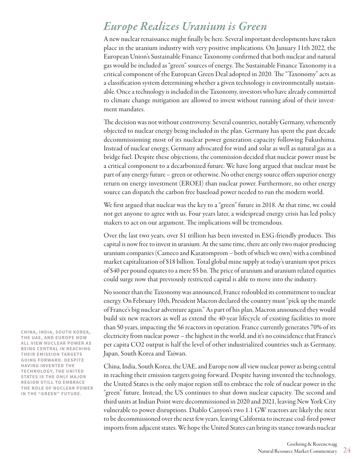## *Europe Realizes Uranium is Green*

A new nuclear renaissance might finally be here. Several important developments have taken place in the uranium industry with very positive implications. On January 11th 2022, the European Union's Sustainable Finance Taxonomy confirmed that both nuclear and natural gas would be included as "green" sources of energy. The Sustainable Finance Taxonomy is a critical component of the European Green Deal adopted in 2020. The "Taxonomy" acts as a classification system determining whether a given technology is environmentally sustainable. Once a technology is included in the Taxonomy, investors who have already committed to climate change mitigation are allowed to invest without running afoul of their investment mandates.

The decision was not without controversy. Several countries, notably Germany, vehemently objected to nuclear energy being included in the plan. Germany has spent the past decade decommissioning most of its nuclear power generation capacity following Fukushima. Instead of nuclear energy, Germany advocated for wind and solar as well as natural gas as a bridge fuel. Despite these objections, the commission decided that nuclear power must be a critical component to a decarbonized future. We have long argued that nuclear must be part of any energy future – green or otherwise. No other energy source offers superior energy return on energy investment (EROEI) than nuclear power. Furthermore, no other energy source can dispatch the carbon free baseload power needed to run the modern world.

We first argued that nuclear was the key to a "green" future in 2018. At that time, we could not get anyone to agree with us. Four years later, a widespread energy crisis has led policy makers to act on our argument. The implications will be tremendous.

Over the last two years, over \$1 trillion has been invested in ESG-friendly products. This capital is now free to invest in uranium. At the same time, there are only two major producing uranium companies (Cameco and Kazatomprom – both of which we own) with a combined market capitalization of \$18 billion. Total global mine supply at today's uranium spot prices of \$40 per pound equates to a mere \$5 bn. The price of uranium and uranium related equities could surge now that previously restricted capital is able to move into the industry.

No sooner than the Taxonomy was announced, France redoubled its commitment to nuclear energy. On February 10th, President Macron declared the country must "pick up the mantle of France's big nuclear adventure again." As part of his plan, Macron announced they would build six new reactors as well as extend the 40-year lifecycle of existing facilities to more than 50 years, impacting the 56 reactors in operation. France currently generates 70% of its electricity from nuclear power – the highest in the world, and it's no coincidence that France's per capita CO2 output is half the level of other industrialized countries such as Germany, Japan, South Korea and Taiwan.

China, India, South Korea, the UAE, and Europe now all view nuclear power as being central in reaching their emission targets going forward. Despite having invented the technology, the United States is the only major region still to embrace the role of nuclear power in the "green" future. Instead, the US continues to shut down nuclear capacity. The second and third units at Indian Point were decommissioned in 2020 and 2021, leaving New York City vulnerable to power disruptions. Diablo Canyon's two 1.1 GW reactors are likely the next to be decommissioned over the next few years, leaving California to increase coal-fired power imports from adjacent states. We hope the United States can bring its stance towards nuclear

**CHINA, INDIA, SOUTH KOREA, THE UAE, AND EUROPE NOW ALL VIEW NUCLEAR POWER AS BEING CENTRAL IN REACHING THEIR EMISSION TARGETS GOING FORWARD. DESPITE HAVING INVENTED THE TECHNOLOGY, THE UNITED STATES IS THE ONLY MAJOR REGION STILL TO EMBRACE THE ROLE OF NUCLEAR POWER IN THE "GREEN" FUTURE.**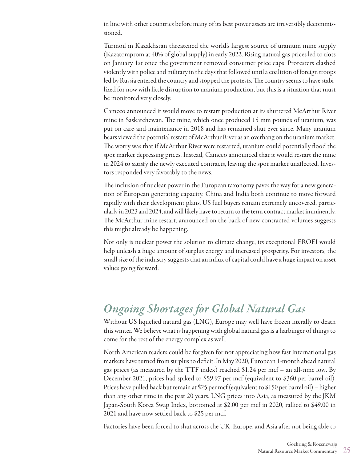in line with other countries before many of its best power assets are irreversibly decommissioned.

Turmoil in Kazakhstan threatened the world's largest source of uranium mine supply (Kazatomprom at 40% of global supply) in early 2022. Rising natural gas prices led to riots on January 1st once the government removed consumer price caps. Protesters clashed violently with police and military in the days that followed until a coalition of foreign troops led by Russia entered the country and stopped the protests. The country seems to have stabilized for now with little disruption to uranium production, but this is a situation that must be monitored very closely.

Cameco announced it would move to restart production at its shuttered McArthur River mine in Saskatchewan. The mine, which once produced 15 mm pounds of uranium, was put on care-and-maintenance in 2018 and has remained shut ever since. Many uranium bears viewed the potential restart of McArthur River as an overhang on the uranium market. The worry was that if McArthur River were restarted, uranium could potentially flood the spot market depressing prices. Instead, Cameco announced that it would restart the mine in 2024 to satisfy the newly executed contracts, leaving the spot market unaffected. Investors responded very favorably to the news.

The inclusion of nuclear power in the European taxonomy paves the way for a new generation of European generating capacity. China and India both continue to move forward rapidly with their development plans. US fuel buyers remain extremely uncovered, particularly in 2023 and 2024, and will likely have to return to the term contract market imminently. The McArthur mine restart, announced on the back of new contracted volumes suggests this might already be happening.

Not only is nuclear power the solution to climate change, its exceptional EROEI would help unleash a huge amount of surplus energy and increased prosperity. For investors, the small size of the industry suggests that an influx of capital could have a huge impact on asset values going forward.

## *Ongoing Shortages for Global Natural Gas*

Without US liquefied natural gas (LNG), Europe may well have frozen literally to death this winter. We believe what is happening with global natural gas is a harbinger of things to come for the rest of the energy complex as well.

North American readers could be forgiven for not appreciating how fast international gas markets have turned from surplus to deficit. In May 2020, European 1-month ahead natural gas prices (as measured by the TTF index) reached \$1.24 per mcf – an all-time low. By December 2021, prices had spiked to \$59.97 per mcf (equivalent to \$360 per barrel oil). Prices have pulled back but remain at \$25 per mcf (equivalent to \$150 per barrel oil) – higher than any other time in the past 20 years. LNG prices into Asia, as measured by the JKM Japan-South Korea Swap Index, bottomed at \$2.00 per mcf in 2020, rallied to \$49.00 in 2021 and have now settled back to \$25 per mcf.

Factories have been forced to shut across the UK, Europe, and Asia after not being able to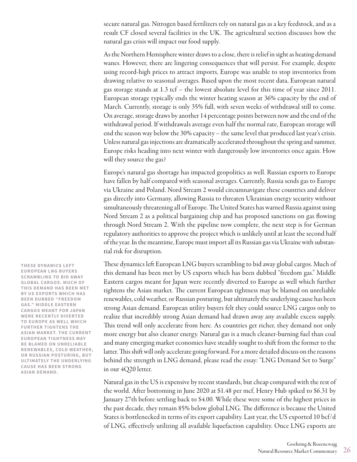secure natural gas. Nitrogen based fertilizers rely on natural gas as a key feedstock, and as a result CF closed several facilities in the UK. The agricultural section discusses how the natural gas crisis will impact our food supply.

As the Northern Hemisphere winter draws to a close, there is relief in sight as heating demand wanes. However, there are lingering consequences that will persist. For example, despite using record-high prices to attract imports, Europe was unable to stop inventories from drawing relative to seasonal averages. Based upon the most recent data, European natural gas storage stands at 1.3 tcf – the lowest absolute level for this time of year since 2011. European storage typically ends the winter heating season at 36% capacity by the end of March. Currently, storage is only 35% full, with seven weeks of withdrawal still to come. On average, storage draws by another 14 percentage points between now and the end of the withdrawal period. If withdrawals average even half the normal rate, European storage will end the season way below the 30% capacity – the same level that produced last year's crisis. Unless natural gas injections are dramatically accelerated throughout the spring and summer, Europe risks heading into next winter with dangerously low inventories once again. How will they source the gas?

Europe's natural gas shortage has impacted geopolitics as well. Russian exports to Europe have fallen by half compared with seasonal averages. Currently, Russia sends gas to Europe via Ukraine and Poland. Nord Stream 2 would circumnavigate these countries and deliver gas directly into Germany, allowing Russia to threaten Ukrainian energy security without simultaneously threatening all of Europe. The United States has warned Russia against using Nord Stream 2 as a political bargaining chip and has proposed sanctions on gas flowing through Nord Stream 2. With the pipeline now complete, the next step is for German regulatory authorities to approve the project which is unlikely until at least the second half of the year. In the meantime, Europe must import all its Russian gas via Ukraine with substantial risk for disruption.

These dynamics left European LNG buyers scrambling to bid away global cargos. Much of this demand has been met by US exports which has been dubbed "freedom gas." Middle Eastern cargos meant for Japan were recently diverted to Europe as well which further tightens the Asian market. The current European tightness may be blamed on unreliable renewables, cold weather, or Russian posturing, but ultimately the underlying cause has been strong Asian demand. European utility buyers felt they could source LNG cargos only to realize that incredibly strong Asian demand had drawn away any available excess supply. This trend will only accelerate from here. As countries get richer, they demand not only more energy but also cleaner energy. Natural gas is a much cleaner-burning fuel than coal and many emerging market economies have steadily sought to shift from the former to the latter. This shift will only accelerate going forward. For a more detailed discuss on the reasons behind the strength in LNG demand, please read the essay: "LNG Demand Set to Surge" in our 4Q20 letter.

Natural gas in the US is expensive by recent standards, but cheap compared with the rest of the world. After bottoming in June 2020 at \$1.48 per mcf, Henry Hub spiked to \$6.31 by January 27th before settling back to \$4.00. While these were some of the highest prices in the past decade, they remain 85% below global LNG. The difference is because the United States is bottlenecked in terms of its export capability. Last year, the US exported 10 bcf/d of LNG, effectively utilizing all available liquefaction capability. Once LNG exports are

**THESE DYNAMICS LEFT EUROPEAN LNG BUYERS SCRAMBLING TO BID AWAY GLOBAL CARGOS. MUCH OF THIS DEMAND HAS BEEN MET BY US EXPORTS WHICH HAS BEEN DUBBED "FREEDOM GAS." MIDDLE EASTERN CARGOS MEANT FOR JAPAN WERE RECENTLY DIVERTED TO EUROPE AS WELL WHICH FURTHER TIGHTENS THE ASIAN MARKET. THE CURRENT EUROPEAN TIGHTNESS MAY BE BLAMED ON UNRELIABLE RENEWABLES, COLD WEATHER, OR RUSSIAN POSTURING, BUT ULTIMATELY THE UNDERLYING CAUSE HAS BEEN STRONG ASIAN DEMAND.**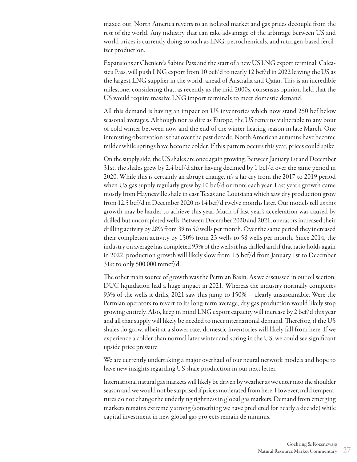maxed out, North America reverts to an isolated market and gas prices decouple from the rest of the world. Any industry that can take advantage of the arbitrage between US and world prices is currently doing so such as LNG, petrochemicals, and nitrogen-based fertilizer production.

Expansions at Cheniere's Sabine Pass and the start of a new US LNG export terminal, Calcasieu Pass, will push LNG export from 10 bcf/d to nearly 12 bcf/d in 2022 leaving the US as the largest LNG supplier in the world, ahead of Australia and Qatar. This is an incredible milestone, considering that, as recently as the mid-2000s, consensus opinion held that the US would require massive LNG import terminals to meet domestic demand.

All this demand is having an impact on US inventories which now stand 250 bcf below seasonal averages. Although not as dire as Europe, the US remains vulnerable to any bout of cold winter between now and the end of the winter heating season in late March. One interesting observation is that over the past decade, North American autumns have become milder while springs have become colder. If this pattern occurs this year, prices could spike.

On the supply side, the US shales are once again growing. Between January 1st and December 31st, the shales grew by 2.4 bcf/d after having declined by 1 bcf/d over the same period in 2020. While this is certainly an abrupt change, it's a far cry from the 2017 to 2019 period when US gas supply regularly grew by 10 bcf/d or more each year. Last year's growth came mostly from Haynesville shale in east Texas and Louisiana which saw dry production grow from 12.5 bcf/d in December 2020 to 14 bcf/d twelve months later. Our models tell us this growth may be harder to achieve this year. Much of last year's acceleration was caused by drilled but uncompleted wells. Between December 2020 and 2021, operators increased their drilling activity by 28% from 39 to 50 wells per month. Over the same period they increased their completion activity by 150% from 23 wells to 58 wells per month. Since 2014, the industry on average has completed 93% of the wells it has drilled and if that ratio holds again in 2022, production growth will likely slow from 1.5 bcf/d from January 1st to December 31st to only 500,000 mmcf/d.

The other main source of growth was the Permian Basin. As we discussed in our oil section, DUC liquidation had a huge impact in 2021. Whereas the industry normally completes 93% of the wells it drills, 2021 saw this jump to 150% -- clearly unsustainable. Were the Permian operators to revert to its long-term average, dry gas production would likely stop growing entirely. Also, keep in mind LNG export capacity will increase by 2 bcf/d this year and all that supply will likely be needed to meet international demand. Therefore, if the US shales do grow, albeit at a slower rate, domestic inventories will likely fall from here. If we experience a colder than normal later winter and spring in the US, we could see significant upside price pressure.

We are currently undertaking a major overhaul of our neural network models and hope to have new insights regarding US shale production in our next letter.

International natural gas markets will likely be driven by weather as we enter into the shoulder season and we would not be surprised if prices moderated from here. However, mild temperatures do not change the underlying tightness in global gas markets. Demand from emerging markets remains extremely strong (something we have predicted for nearly a decade) while capital investment in new global gas projects remain de minimis.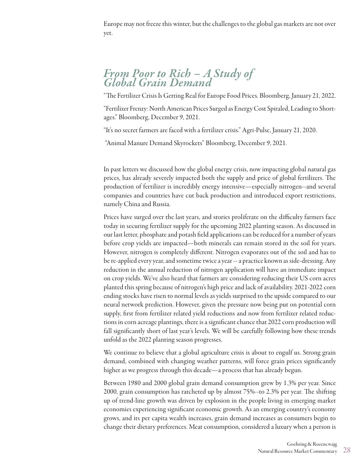Europe may not freeze this winter, but the challenges to the global gas markets are not over yet.

## *From Poor to Rich – A Study of Global Grain Demand*

"The Fertilizer Crisis Is Getting Real for Europe Food Prices. Bloomberg, January 21, 2022.

"Fertilizer Frenzy: North American Prices Surged as Energy Cost Spiraled, Leading to Shortages." Bloomberg, December 9, 2021.

"It's no secret farmers are faced with a fertilizer crisis." Agri-Pulse, January 21, 2020.

"Animal Manure Demand Skyrockets" Bloomberg, December 9, 2021.

In past letters we discussed how the global energy crisis, now impacting global natural gas prices, has already severely impacted both the supply and price of global fertilizers. The production of fertilizer is incredibly energy intensive—especially nitrogen--and several companies and countries have cut back production and introduced export restrictions, namely China and Russia.

Prices have surged over the last years, and stories proliferate on the difficulty farmers face today in securing fertilizer supply for the upcoming 2022 planting season. As discussed in our last letter, phosphate and potash field applications can be reduced for a number of years before crop yields are impacted—both minerals can remain stored in the soil for years. However, nitrogen is completely different. Nitrogen evaporates out of the soil and has to be re-applied every year, and sometime twice a year -- a practice known as side-dressing. Any reduction in the annual reduction of nitrogen application will have an immediate impact on crop yields. We've also heard that farmers are considering reducing their US corn acres planted this spring because of nitrogen's high price and lack of availability. 2021-2022 corn ending stocks have risen to normal levels as yields surprised to the upside compared to our neural network prediction. However, given the pressure now being put on potential corn supply, first from fertilizer related yield reductions and now from fertilizer related reductions in corn acreage plantings, there is a significant chance that 2022 corn production will fall significantly short of last year's levels. We will be carefully following how these trends unfold as the 2022 planting season progresses.

We continue to believe that a global agriculture crisis is about to engulf us. Strong grain demand, combined with changing weather patterns, will force grain prices significantly higher as we progress through this decade—a process that has already begun.

Between 1980 and 2000 global grain demand consumption grew by 1.3% per year. Since 2000, grain consumption has ratcheted up by almost 75%--to 2.3% per year. The shifting up of trend-line growth was driven by explosion in the people living in emerging market economies experiencing significant economic growth. As an emerging country's economy grows, and its per capita wealth increases, grain demand increases as consumers begin to change their dietary preferences. Meat consumption, considered a luxury when a person is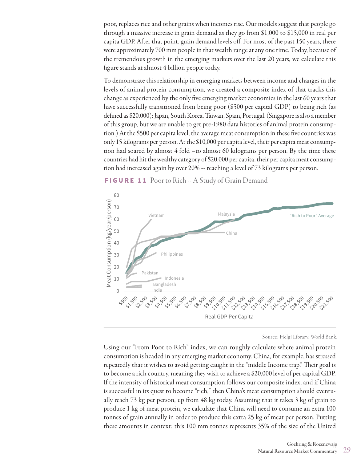poor, replaces rice and other grains when incomes rise. Our models suggest that people go through a massive increase in grain demand as they go from \$1,000 to \$15,000 in real per capita GDP. After that point, grain demand levels off. For most of the past 150 years, there were approximately 700 mm people in that wealth range at any one time. Today, because of the tremendous growth in the emerging markets over the last 20 years, we calculate this figure stands at almost 4 billion people today.

To demonstrate this relationship in emerging markets between income and changes in the levels of animal protein consumption, we created a composite index of that tracks this change as experienced by the only five emerging market economies in the last 60 years that have successfully transitioned from being poor (\$500 per capital GDP) to being rich (as defined as \$20,000): Japan, South Korea, Taiwan, Spain, Portugal. (Singapore is also a member of this group, but we are unable to get pre-1980 data histories of animal protein consumption.) At the \$500 per capita level, the average meat consumption in these five countries was only 15 kilograms per person. At the \$10,000 per capita level, their per capita meat consumption had soared by almost 4 fold –to almost 60 kilograms per person. By the time these countries had hit the wealthy category of \$20,000 per capita, their per capita meat consumption had increased again by over 20% -- reaching a level of 73 kilograms per person.



#### **FIGURE 11** Poor to Rich -- A Study of Grain Demand

Source: Helgi Library, World Bank.

Using our "From Poor to Rich" index, we can roughly calculate where animal protein consumption is headed in any emerging market economy. China, for example, has stressed repeatedly that it wishes to avoid getting caught in the "middle Income trap." Their goal is to become a rich country, meaning they wish to achieve a \$20,000 level of per capital GDP. If the intensity of historical meat consumption follows our composite index, and if China is successful in its quest to become "rich," then China's meat consumption should eventually reach 73 kg per person, up from 48 kg today. Assuming that it takes 3 kg of grain to produce 1 kg of meat protein, we calculate that China will need to consume an extra 100 tonnes of grain annually in order to produce this extra 25 kg of meat per person. Putting these amounts in context: this 100 mm tonnes represents 35% of the size of the United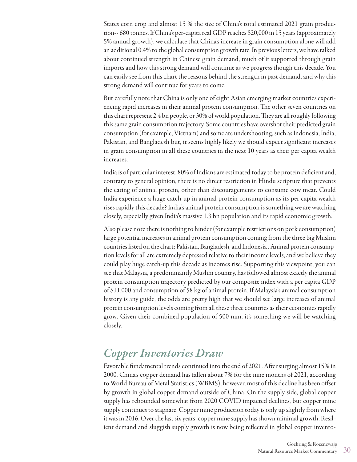States corn crop and almost 15 % the size of China's total estimated 2021 grain production-- 680 tonnes. If China's per-capita real GDP reaches \$20,000 in 15 years (approximately 5% annual growth), we calculate that China's increase in grain consumption alone will add an additional 0.4% to the global consumption growth rate. In previous letters, we have talked about continued strength in Chinese grain demand, much of it supported through grain imports and how this strong demand will continue as we progress though this decade. You can easily see from this chart the reasons behind the strength in past demand, and why this strong demand will continue for years to come.

But carefully note that China is only one of eight Asian emerging market countries experiencing rapid increases in their animal protein consumption. The other seven countries on this chart represent 2.4 bn people, or 30% of world population. They are all roughly following this same grain consumption trajectory. Some countries have overshot their predicted grain consumption (for example, Vietnam) and some are undershooting, such as Indonesia, India, Pakistan, and Bangladesh but, it seems highly likely we should expect significant increases in grain consumption in all these countries in the next 10 years as their per capita wealth increases.

India is of particular interest. 80% of Indians are estimated today to be protein deficient and, contrary to general opinion, there is no direct restriction in Hindu scripture that prevents the eating of animal protein, other than discouragements to consume cow meat. Could India experience a huge catch-up in animal protein consumption as its per capita wealth rises rapidly this decade? India's animal protein consumption is something we are watching closely, especially given India's massive 1.3 bn population and its rapid economic growth.

Also please note there is nothing to hinder (for example restrictions on pork consumption) large potential increases in animal protein consumption coming from the three big Muslim countries listed on the chart: Pakistan, Bangladesh, and Indonesia . Animal protein consumption levels for all are extremely depressed relative to their income levels, and we believe they could play huge catch-up this decade as incomes rise. Supporting this viewpoint, you can see that Malaysia, a predominantly Muslim country, has followed almost exactly the animal protein consumption trajectory predicted by our composite index with a per capita GDP of \$11,000 and consumption of 58 kg of animal protein. If Malaysia's animal consumption history is any guide, the odds are pretty high that we should see large increases of animal protein consumption levels coming from all these three countries as their economies rapidly grow. Given their combined population of 500 mm, it's something we will be watching closely.

## *Copper Inventories Draw*

Favorable fundamental trends continued into the end of 2021. After surging almost 15% in 2000, China's copper demand has fallen about 7% for the nine months of 2021, according to World Bureau of Metal Statistics (WBMS), however, most of this decline has been offset by growth in global copper demand outside of China. On the supply side, global copper supply has rebounded somewhat from 2020 COVID impacted declines, but copper mine supply continues to stagnate. Copper mine production today is only up slightly from where it was in 2016. Over the last six years, copper mine supply has shown minimal growth. Resilient demand and sluggish supply growth is now being reflected in global copper invento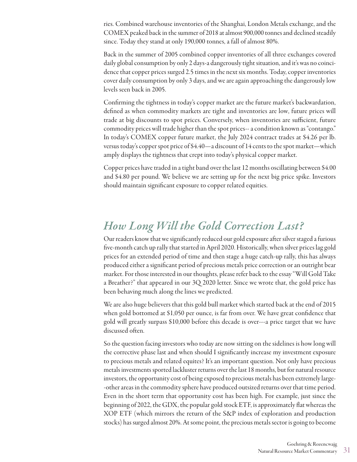ries. Combined warehouse inventories of the Shanghai, London Metals exchange, and the COMEX peaked back in the summer of 2018 at almost 900,000 tonnes and declined steadily since. Today they stand at only 190,000 tonnes, a fall of almost 80%.

Back in the summer of 2005 combined copper inventories of all three exchanges covered daily global consumption by only 2 days-a dangerously tight situation, and it's was no coincidence that copper prices surged 2.5 times in the next six months. Today, copper inventories cover daily consumption by only 3 days, and we are again approaching the dangerously low levels seen back in 2005.

Confirming the tightness in today's copper market are the future market's backwardation, defined as when commodity markets are tight and inventories are low, future prices will trade at big discounts to spot prices. Conversely, when inventories are sufficient, future commodity prices will trade higher than the spot prices-- a condition known as "contango." In today's COMEX copper future market, the July 2024 contract trades at \$4.26 per lb. versus today's copper spot price of \$4.40—a discount of 14 cents to the spot market—which amply displays the tightness that crept into today's physical copper market.

Copper prices have traded in a tight band over the last 12 months oscillating between \$4.00 and \$4.80 per pound. We believe we are setting up for the next big price spike. Investors should maintain significant exposure to copper related equities.

## *How Long Will the Gold Correction Last?*

Our readers know that we significantly reduced our gold exposure after silver staged a furious five-month catch up rally that started in April 2020. Historically, when silver prices lag gold prices for an extended period of time and then stage a huge catch-up rally, this has always produced either a significant period of precious metals price correction or an outright bear market. For those interested in our thoughts, please refer back to the essay "Will Gold Take a Breather?" that appeared in our 3Q 2020 letter. Since we wrote that, the gold price has been behaving much along the lines we predicted.

We are also huge believers that this gold bull market which started back at the end of 2015 when gold bottomed at \$1,050 per ounce, is far from over. We have great confidence that gold will greatly surpass \$10,000 before this decade is over---a price target that we have discussed often.

So the question facing investors who today are now sitting on the sidelines is how long will the corrective phase last and when should I significantly increase my investment exposure to precious metals and related equites? It's an important question. Not only have precious metals investments sported lackluster returns over the last 18 months, but for natural resource investors, the opportunity cost of being exposed to precious metals has been extremely large- -other areas in the commodity sphere have produced outsized returns over that time period. Even in the short term that opportunity cost has been high. For example, just since the beginning of 2022, the GDX, the popular gold stock ETF, is approximately flat whereas the XOP ETF (which mirrors the return of the S&P index of exploration and production stocks) has surged almost 20%. At some point, the precious metals sector is going to become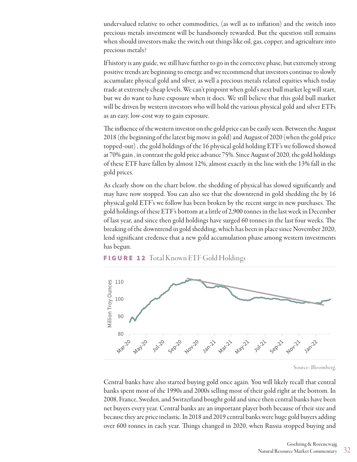undervalued relative to other commodities, (as well as to inflation) and the switch into precious metals investment will be handsomely rewarded. But the question still remains when should investors make the switch out things like oil, gas, copper, and agriculture into precious metals?

If history is any guide, we still have further to go in the corrective phase, but extremely strong positive trends are beginning to emerge and we recommend that investors continue to slowly accumulate physical gold and silver, as well a precious metals related equities which today trade at extremely cheap levels. We can't pinpoint when gold's next bull market leg will start, but we do want to have exposure when it does. We still believe that this gold bull market will be driven by western investors who will hold the various physical gold and silver ETFs as an easy, low-cost way to gain exposure.

The influence of the western investor on the gold price can be easily seen. Between the August 2018 (the beginning of the latest big move in gold) and August of 2020 (when the gold price topped-out) , the gold holdings of the 16 physical gold holding ETF's we followed showed at 70% gain , in contrast the gold price advance 75%. Since August of 2020, the gold holdings of these ETF have fallen by almost 12%, almost exactly in the line with the 13% fall in the gold prices.

As clearly show on the chart below, the shedding of physical has slowed significantly and may have now stopped. You can also see that the downtrend in gold shedding the by 16 physical gold ETF's we follow has been broken by the recent surge in new purchases. The gold holdings of these ETF's bottom at a little of 2,900 tonnes in the last week in December of last year, and since then gold holdings have surged 60 tonnes in the last four weeks. The breaking of the downtrend in gold shedding, which has been in place since November 2020, lend significant credence that a new gold accumulation phase among western investments has begun.



#### FIGURE 12 Total Known ETF Gold Holdings

Source: Bloomberg.

Central banks have also started buying gold once again. You will likely recall that central banks spent most of the 1990s and 2000s selling most of their gold right at the bottom. In 2008, France, Sweden, and Switzerland bought gold and since then central banks have been net buyers every year. Central banks are an important player both because of their size and because they are price inelastic. In 2018 and 2019 central banks were huge gold buyers adding over 600 tonnes in each year. Things changed in 2020, when Russia stopped buying and